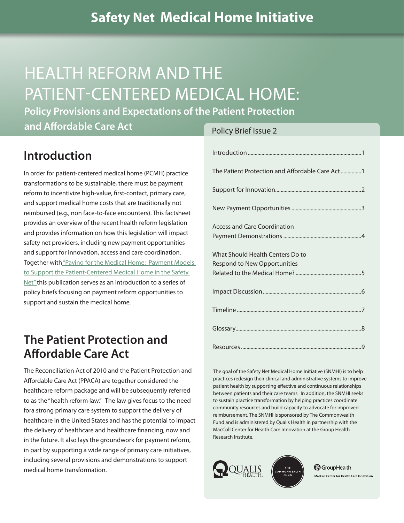# HEALTH REFORM AND THE PATIENT-CENTERED MEDICAL HOME:

**Policy Provisions and Expectations of the Patient Protection** 

**and Affordable Care Act**

# **Introduction**

In order for patient-centered medical home (PCMH) practice transformations to be sustainable, there must be payment reform to incentivize high-value, first-contact, primary care, and support medical home costs that are traditionally not reimbursed (e.g., non face-to-face encounters). This factsheet provides an overview of the recent health reform legislation and provides information on how this legislation will impact safety net providers, including new payment opportunities and support for innovation, access and care coordination. Together wit[h "Paying for the Medical Home: Payment Models](http://www.safetynetmedicalhome.org/sites/default/files/Policy-Brief-1.pdf)  [to Support the Patient-Centered Medical Home in the Safety](http://www.safetynetmedicalhome.org/sites/default/files/Policy-Brief-1.pdf) [Net" t](http://www.safetynetmedicalhome.org/sites/default/files/Policy-Brief-1.pdf)his publication serves as an introduction to a series of policy briefs focusing on payment reform opportunities to support and sustain the medical home.

# **The Patient Protection and Affordable Care Act**

The Reconciliation Act of 2010 and the Patient Protection and Affordable Care Act (PPACA) are together considered the healthcare reform package and will be subsequently referred to as the "health reform law." The law gives focus to the need fora strong primary care system to support the delivery of healthcare in the United States and has the potential to impact the delivery of healthcare and healthcare financing, now and in the future. It also lays the groundwork for payment reform, in part by supporting a wide range of primary care initiatives, including several provisions and demonstrations to support medical home transformation.

#### Policy Brief Issue 2

| The Patient Protection and Affordable Care Act1 |
|-------------------------------------------------|
|                                                 |
|                                                 |
| <b>Access and Care Coordination</b>             |
| What Should Health Centers Do to                |
| Respond to New Opportunities                    |
|                                                 |
|                                                 |
|                                                 |
|                                                 |
|                                                 |

The goal of the Safety Net Medical Home Initiative (SNMHI) is to help practices redesign their clinical and administrative systems to improve patient health by supporting effective and continuous relationships between patients and their care teams. In addition, the SNMHI seeks to sustain practice transformation by helping practices coordinate community resources and build capacity to advocate for improved reimbursement. The SNMHI is sponsored by The Commonwealth Fund and is administered by Qualis Health in partnership with the MacColl Center for Health Care Innovation at the Group Health Research Institute.



**M** GroupHealth. MacColl Center for Health Care Innovation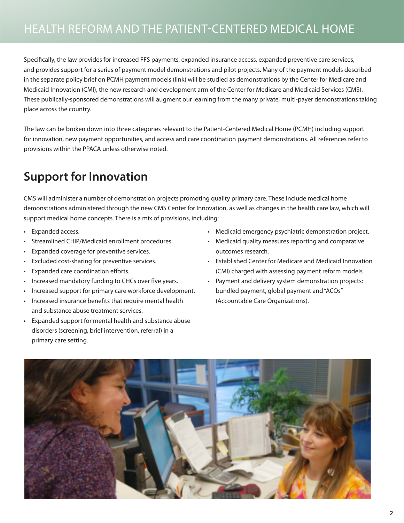# <span id="page-1-0"></span>HEALTH REFORM AND THE PATIENT-CENTERED MEDICAL HOME

Specifically, the law provides for increased FFS payments, expanded insurance access, expanded preventive care services, and provides support for a series of payment model demonstrations and pilot projects. Many of the payment models described in the separate policy brief on PCMH payment models (link) will be studied as demonstrations by the Center for Medicare and Medicaid Innovation (CMI), the new research and development arm of the Center for Medicare and Medicaid Services (CMS). These publically-sponsored demonstrations will augment our learning from the many private, multi-payer demonstrations taking place across the country.

The law can be broken down into three categories relevant to the Patient-Centered Medical Home (PCMH) including support for innovation, new payment opportunities, and access and care coordination payment demonstrations. All references refer to provisions within the PPACA unless otherwise noted.

# **Support for Innovation**

CMS will administer a number of demonstration projects promoting quality primary care. These include medical home demonstrations administered through the new CMS Center for Innovation, as well as changes in the health care law, which will support medical home concepts. There is a mix of provisions, including:

- Expanded access.
- Streamlined CHIP/Medicaid enrollment procedures.
- Expanded coverage for preventive services.
- Excluded cost-sharing for preventive services.
- Expanded care coordination efforts.
- Increased mandatory funding to CHCs over five years.
- Increased support for primary care workforce development.
- Increased insurance benefits that require mental health and substance abuse treatment services.
- Expanded support for mental health and substance abuse disorders (screening, brief intervention, referral) in a primary care setting.
- Medicaid emergency psychiatric demonstration project.
- Medicaid quality measures reporting and comparative outcomes research.
- Established Center for Medicare and Medicaid Innovation (CMI) charged with assessing payment reform models.
- Payment and delivery system demonstration projects: bundled payment, global payment and "ACOs" (Accountable Care Organizations).

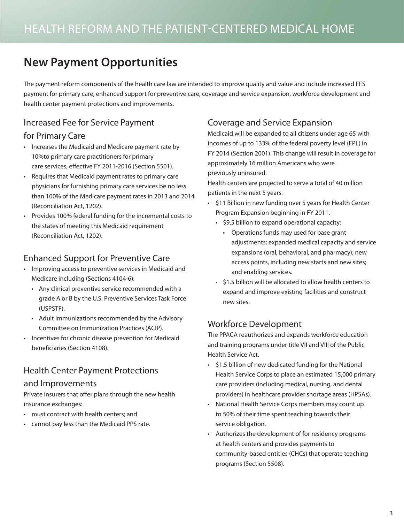# <span id="page-2-0"></span>**New Payment Opportunities**

The payment reform components of the health care law are intended to improve quality and value and include increased FFS payment for primary care, enhanced support for preventive care, coverage and service expansion, workforce development and health center payment protections and improvements.

### Increased Fee for Service Payment

#### for Primary Care

- Increases the Medicaid and Medicare payment rate by 10%to primary care practitioners for primary care services, effective FY 2011-2016 (Section 5501).
- Requires that Medicaid payment rates to primary care physicians for furnishing primary care services be no less than 100% of the Medicare payment rates in 2013 and 2014 (Reconciliation Act, 1202).
- Provides 100% federal funding for the incremental costs to the states of meeting this Medicaid requirement (Reconciliation Act, 1202).

### Enhanced Support for Preventive Care

- Improving access to preventive services in Medicaid and Medicare including (Sections 4104-6):
	- Any clinical preventive service recommended with a grade A or B by the U.S. Preventive Services Task Force (USPSTF).
	- Adult immunizations recommended by the Advisory Committee on Immunization Practices (ACIP).
- Incentives for chronic disease prevention for Medicaid beneficiaries (Section 4108).

### Health Center Payment Protections

#### and Improvements

Private insurers that offer plans through the new health insurance exchanges:

- must contract with health centers; and
- cannot pay less than the Medicaid PPS rate.

### Coverage and Service Expansion

Medicaid will be expanded to all citizens under age 65 with incomes of up to 133% of the federal poverty level (FPL) in FY 2014 (Section 2001). This change will result in coverage for approximately 16 million Americans who were previously uninsured.

Health centers are projected to serve a total of 40 million patients in the next 5 years.

- \$11 Billion in new funding over 5 years for Health Center Program Expansion beginning in FY 2011.
	- \$9.5 billion to expand operational capacity:
		- Operations funds may used for base grant adjustments; expanded medical capacity and service expansions (oral, behavioral, and pharmacy); new access points, including new starts and new sites; and enabling services.
	- \$1.5 billion will be allocated to allow health centers to expand and improve existing facilities and construct new sites.

### Workforce Development

The PPACA reauthorizes and expands workforce education and training programs under title VII and VIII of the Public Health Service Act.

- \$1.5 billion of new dedicated funding for the National Health Service Corps to place an estimated 15,000 primary care providers (including medical, nursing, and dental providers) in healthcare provider shortage areas (HPSAs).
- National Health Service Corps members may count up to 50% of their time spent teaching towards their service obligation.
- Authorizes the development of for residency programs at health centers and provides payments to community-based entities (CHCs) that operate teaching programs (Section 5508).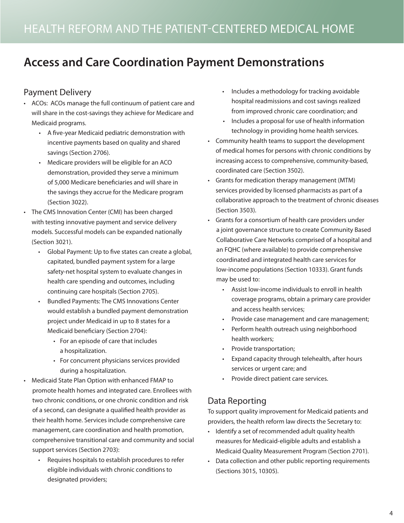# <span id="page-3-0"></span>**Access and Care Coordination Payment Demonstrations**

### Payment Delivery

- ACOs: ACOs manage the full continuum of patient care and will share in the cost-savings they achieve for Medicare and Medicaid programs.
	- A five-year Medicaid pediatric demonstration with incentive payments based on quality and shared savings (Section 2706).
	- Medicare providers will be eligible for an ACO demonstration, provided they serve a minimum of 5,000 Medicare beneficiaries and will share in the savings they accrue for the Medicare program (Section 3022).
- The CMS Innovation Center (CMI) has been charged with testing innovative payment and service delivery models. Successful models can be expanded nationally (Section 3021).
	- Global Payment: Up to five states can create a global, capitated, bundled payment system for a large safety-net hospital system to evaluate changes in health care spending and outcomes, including continuing care hospitals (Section 2705).
	- Bundled Payments: The CMS Innovations Center would establish a bundled payment demonstration project under Medicaid in up to 8 states for a Medicaid beneficiary (Section 2704):
		- For an episode of care that includes a hospitalization.
		- For concurrent physicians services provided during a hospitalization.
- Medicaid State Plan Option with enhanced FMAP to promote health homes and integrated care. Enrollees with two chronic conditions, or one chronic condition and risk of a second, can designate a qualified health provider as their health home. Services include comprehensive care management, care coordination and health promotion, comprehensive transitional care and community and social support services (Section 2703):
	- Requires hospitals to establish procedures to refer eligible individuals with chronic conditions to designated providers;
- Includes a methodology for tracking avoidable hospital readmissions and cost savings realized from improved chronic care coordination; and
- Includes a proposal for use of health information technology in providing home health services.
- Community health teams to support the development of medical homes for persons with chronic conditions by increasing access to comprehensive, community-based, coordinated care (Section 3502).
- Grants for medication therapy management (MTM) services provided by licensed pharmacists as part of a collaborative approach to the treatment of chronic diseases (Section 3503).
- Grants for a consortium of health care providers under a joint governance structure to create Community Based Collaborative Care Networks comprised of a hospital and an FQHC (where available) to provide comprehensive coordinated and integrated health care services for low-income populations (Section 10333). Grant funds may be used to:
	- Assist low-income individuals to enroll in health coverage programs, obtain a primary care provider and access health services;
	- Provide case management and care management;
	- Perform health outreach using neighborhood health workers;
	- Provide transportation;
	- Expand capacity through telehealth, after hours services or urgent care; and
	- Provide direct patient care services.

## Data Reporting

To support quality improvement for Medicaid patients and providers, the health reform law directs the Secretary to:

- Identify a set of recommended adult quality health measures for Medicaid-eligible adults and establish a Medicaid Quality Measurement Program (Section 2701).
- Data collection and other public reporting requirements (Sections 3015, 10305).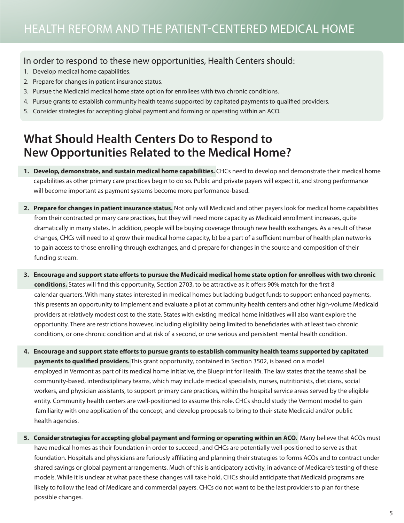#### <span id="page-4-0"></span>In order to respond to these new opportunities, Health Centers should:

- 1. Develop medical home capabilities.
- 2. Prepare for changes in patient insurance status.
- 3. Pursue the Medicaid medical home state option for enrollees with two chronic conditions.
- 4. Pursue grants to establish community health teams supported by capitated payments to qualified providers.
- 5. Consider strategies for accepting global payment and forming or operating within an ACO.

# **What Should Health Centers Do to Respond to New Opportunities Related to the Medical Home?**

- **1. Develop, demonstrate, and sustain medical home capabilities.** CHCs need to develop and demonstrate their medical home capabilities as other primary care practices begin to do so. Public and private payers will expect it, and strong performance will become important as payment systems become more performance-based.
- **2. Prepare for changes in patient insurance status.** Not only will Medicaid and other payers look for medical home capabilities from their contracted primary care practices, but they will need more capacity as Medicaid enrollment increases, quite dramatically in many states. In addition, people will be buying coverage through new health exchanges. As a result of these changes, CHCs will need to a) grow their medical home capacity, b) be a part of a sufficient number of health plan networks to gain access to those enrolling through exchanges, and c) prepare for changes in the source and composition of their funding stream.
- **3. Encourage and support state efforts to pursue the Medicaid medical home state option for enrollees with two chronic conditions.** States will find this opportunity, Section 2703, to be attractive as it offers 90% match for the first 8 calendar quarters. With many states interested in medical homes but lacking budget funds to support enhanced payments, this presents an opportunity to implement and evaluate a pilot at community health centers and other high-volume Medicaid providers at relatively modest cost to the state. States with existing medical home initiatives will also want explore the opportunity. There are restrictions however, including eligibility being limited to beneficiaries with at least two chronic conditions, or one chronic condition and at risk of a second, or one serious and persistent mental health condition.
- **4. Encourage and support state efforts to pursue grants to establish community health teams supported by capitated payments to qualified providers.** This grant opportunity, contained in Section 3502, is based on a model employed in Vermont as part of its medical home initiative, the Blueprint for Health. The law states that the teams shall be community-based, interdisciplinary teams, which may include medical specialists, nurses, nutritionists, dieticians, social workers, and physician assistants, to support primary care practices, within the hospital service areas served by the eligible entity. Community health centers are well-positioned to assume this role. CHCs should study the Vermont model to gain familiarity with one application of the concept, and develop proposals to bring to their state Medicaid and/or public health agencies.
- **5. Consider strategies for accepting global payment and forming or operating within an ACO.** Many believe that ACOs must have medical homes as their foundation in order to succeed , and CHCs are potentially well-positioned to serve as that foundation. Hospitals and physicians are furiously affiliating and planning their strategies to forms ACOs and to contract under shared savings or global payment arrangements. Much of this is anticipatory activity, in advance of Medicare's testing of these models. While it is unclear at what pace these changes will take hold, CHCs should anticipate that Medicaid programs are likely to follow the lead of Medicare and commercial payers. CHCs do not want to be the last providers to plan for these possible changes.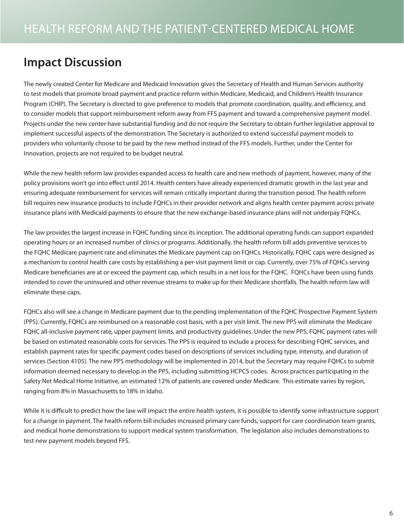# <span id="page-5-0"></span>**Impact Discussion**

The newly created Center for Medicare and Medicaid Innovation gives the Secretary of Health and Human Services authority to test models that promote broad payment and practice reform within Medicare, Medicaid, and Children's Health Insurance Program (CHIP). The Secretary is directed to give preference to models that promote coordination, quality, and efficiency, and to consider models that support reimbursement reform away from FFS payment and toward a comprehensive payment model. Projects under the new center have substantial funding and do not require the Secretary to obtain further legislative approval to implement successful aspects of the demonstration. The Secretary is authorized to extend successful payment models to providers who voluntarily choose to be paid by the new method instead of the FFS models. Further, under the Center for Innovation, projects are not required to be budget neutral.

While the new health reform law provides expanded access to health care and new methods of payment, however, many of the policy provisions won't go into effect until 2014. Health centers have already experienced dramatic growth in the last year and ensuring adequate reimbursement for services will remain critically important during the transition period. The health reform bill requires new insurance products to include FQHCs in their provider network and aligns health center payment across private insurance plans with Medicaid payments to ensure that the new exchange-based insurance plans will not underpay FQHCs.

The law provides the largest increase in FQHC funding since its inception. The additional operating funds can support expanded operating hours or an increased number of clinics or programs. Additionally, the health reform bill adds preventive services to the FQHC Medicare payment rate and eliminates the Medicare payment cap on FQHCs. Historically, FQHC caps were designed as a mechanism to control health care costs by establishing a per-visit payment limit or cap. Currently, over 75% of FQHCs serving Medicare beneficiaries are at or exceed the payment cap, which results in a net loss for the FQHC. FQHCs have been using funds intended to cover the uninsured and other revenue streams to make up for their Medicare shortfalls. The health reform law will eliminate these caps.

FQHCs also will see a change in Medicare payment due to the pending implementation of the FQHC Prospective Payment System (PPS). Currently, FQHCs are reimbursed on a reasonable cost basis, with a per visit limit. The new PPS will eliminate the Medicare FQHC all-inclusive payment rate, upper payment limits, and productivity guidelines. Under the new PPS, FQHC payment rates will be based on estimated reasonable costs for services. The PPS is required to include a process for describing FQHC services, and establish payment rates for specific payment codes based on descriptions of services including type, intensity, and duration of services (Section 4105). The new PPS methodology will be implemented in 2014, but the Secretary may require FQHCs to submit information deemed necessary to develop in the PPS, including submitting HCPCS codes. Across practices participating in the Safety Net Medical Home Initiative, an estimated 12% of patients are covered under Medicare. This estimate varies by region, ranging from 8% in Massachusetts to 18% in Idaho.

While it is difficult to predict how the law will impact the entire health system, it is possible to identify some infrastructure support for a change in payment. The health reform bill includes increased primary care funds, support for care coordination team grants, and medical home demonstrations to support medical system transformation. The legislation also includes demonstrations to test new payment models beyond FFS.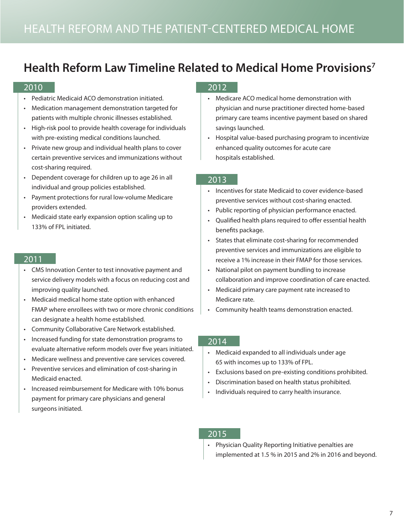# <span id="page-6-0"></span>**Health Reform Law Timeline Related to Medical Home Provisions7**

#### 2010

- Pediatric Medicaid ACO demonstration initiated.
- Medication management demonstration targeted for patients with multiple chronic illnesses established.
- High-risk pool to provide health coverage for individuals with pre-existing medical conditions launched.
- Private new group and individual health plans to cover certain preventive services and immunizations without cost-sharing required.
- Dependent coverage for children up to age 26 in all individual and group policies established.
- Payment protections for rural low-volume Medicare providers extended.
- Medicaid state early expansion option scaling up to 133% of FPL initiated.

#### 2011

- CMS Innovation Center to test innovative payment and service delivery models with a focus on reducing cost and improving quality launched.
- Medicaid medical home state option with enhanced FMAP where enrollees with two or more chronic conditions can designate a health home established.
- Community Collaborative Care Network established.
- Increased funding for state demonstration programs to evaluate alternative reform models over five years initiated.
- Medicare wellness and preventive care services covered.
- Preventive services and elimination of cost-sharing in Medicaid enacted.
- Increased reimbursement for Medicare with 10% bonus payment for primary care physicians and general surgeons initiated.

#### 2012

- Medicare ACO medical home demonstration with physician and nurse practitioner directed home-based primary care teams incentive payment based on shared savings launched.
- Hospital value-based purchasing program to incentivize enhanced quality outcomes for acute care hospitals established.

#### 2013

- Incentives for state Medicaid to cover evidence-based preventive services without cost-sharing enacted.
- Public reporting of physician performance enacted.
- Qualified health plans required to offer essential health benefits package.
- States that eliminate cost-sharing for recommended preventive services and immunizations are eligible to receive a 1% increase in their FMAP for those services.
- National pilot on payment bundling to increase collaboration and improve coordination of care enacted.
- Medicaid primary care payment rate increased to Medicare rate.
- Community health teams demonstration enacted.

#### 2014

- Medicaid expanded to all individuals under age 65 with incomes up to 133% of FPL.
- Exclusions based on pre-existing conditions prohibited.
- Discrimination based on health status prohibited.
- Individuals required to carry health insurance.

#### 2015

• Physician Quality Reporting Initiative penalties are implemented at 1.5 % in 2015 and 2% in 2016 and beyond.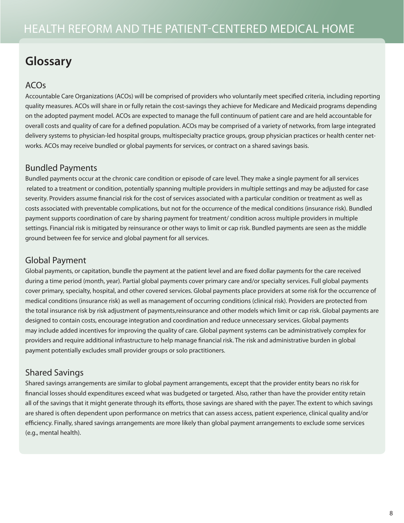# <span id="page-7-0"></span>**Glossary**

### ACOs

Accountable Care Organizations (ACOs) will be comprised of providers who voluntarily meet specified criteria, including reporting quality measures. ACOs will share in or fully retain the cost-savings they achieve for Medicare and Medicaid programs depending on the adopted payment model. ACOs are expected to manage the full continuum of patient care and are held accountable for overall costs and quality of care for a defined population. ACOs may be comprised of a variety of networks, from large integrated delivery systems to physician-led hospital groups, multispecialty practice groups, group physician practices or health center networks. ACOs may receive bundled or global payments for services, or contract on a shared savings basis.

### Bundled Payments

Bundled payments occur at the chronic care condition or episode of care level. They make a single payment for all services related to a treatment or condition, potentially spanning multiple providers in multiple settings and may be adjusted for case severity. Providers assume financial risk for the cost of services associated with a particular condition or treatment as well as costs associated with preventable complications, but not for the occurrence of the medical conditions (insurance risk). Bundled payment supports coordination of care by sharing payment for treatment/ condition across multiple providers in multiple settings. Financial risk is mitigated by reinsurance or other ways to limit or cap risk. Bundled payments are seen as the middle ground between fee for service and global payment for all services.

### Global Payment

Global payments, or capitation, bundle the payment at the patient level and are fixed dollar payments for the care received during a time period (month, year). Partial global payments cover primary care and/or specialty services. Full global payments cover primary, specialty, hospital, and other covered services. Global payments place providers at some risk for the occurrence of medical conditions (insurance risk) as well as management of occurring conditions (clinical risk). Providers are protected from the total insurance risk by risk adjustment of payments,reinsurance and other models which limit or cap risk. Global payments are designed to contain costs, encourage integration and coordination and reduce unnecessary services. Global payments may include added incentives for improving the quality of care. Global payment systems can be administratively complex for providers and require additional infrastructure to help manage financial risk. The risk and administrative burden in global payment potentially excludes small provider groups or solo practitioners.

### Shared Savings

Shared savings arrangements are similar to global payment arrangements, except that the provider entity bears no risk for financial losses should expenditures exceed what was budgeted or targeted. Also, rather than have the provider entity retain all of the savings that it might generate through its efforts, those savings are shared with the payer. The extent to which savings are shared is often dependent upon performance on metrics that can assess access, patient experience, clinical quality and/or efficiency. Finally, shared savings arrangements are more likely than global payment arrangements to exclude some services (e.g., mental health).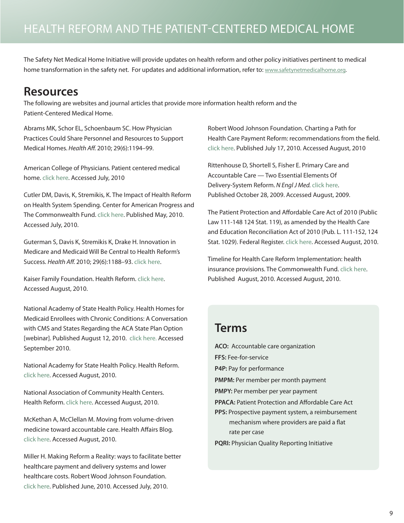<span id="page-8-0"></span>The Safety Net Medical Home Initiative will provide updates on health reform and other policy initiatives pertinent to medical home transformation in the safety net. For updates and additional information, refer to: www.safetynetmedicalhome.org.

# **Resources**

The following are websites and journal articles that provide more information health reform and the Patient-Centered Medical Home.

Abrams MK, Schor EL, Schoenbaum SC. How Physician Practices Could Share Personnel and Resources to Support Medical Homes. *Health Aff.* 2010; 29(6):1194–99.

American College of Physicians. Patient centered medical home. [click here.](http://www.acponline.org/running_practice/pcmh/) Accessed July, 2010

Cutler DM, Davis, K, Stremikis, K. The Impact of Health Reform on Health System Spending. Center for American Progress and The Commonwealth Fund. [click here.](http://www.commonwealthfund.org/~/media/Files/Publications/Case%20Study/2009/Jun/McCarthy_Geisinger_case_study_624_update.pdf) Published May, 2010. Accessed July, 2010.

Guterman S, Davis K, Stremikis K, Drake H. Innovation in Medicare and Medicaid Will Be Central to Health Reform's Success. *Health Aff.* 2010; 29(6):1188–93. [click here.](http://www.commonwealthfund.org/Publications/In-the-Literature/2010/Jun/The-Center-for-Medicare.aspx)

Kaiser Family Foundation. Health Reform. [click here.](http://healthreform.kff.org/) Accessed August, 2010.

National Academy of State Health Policy. Health Homes for Medicaid Enrollees with Chronic Conditions: A Conversation with CMS and States Regarding the ACA State Plan Option [webinar]. Published August 12, 2010[. click here.](https://cc.readytalk.com/cc/s/meetingArchive?eventId=xw79ap57faco) Accessed September 2010.

National Academy for State Health Policy. Health Reform. [click here.](http://www.nashp.org/) Accessed August, 2010.

National Association of Community Health Centers. Health Reform[. click here](http://www.nachc.org/healthreform.cfm). Accessed August, 2010.

McKethan A, McClellan M. Moving from volume-driven medicine toward accountable care. Health Affairs Blog. [click here.](http://healthaffairs.org/blog/2009/08/20/moving-from-volume-driven-medicine-toward-accountable-care/) Accessed August, 2010.

Miller H. Making Reform a Reality: ways to facilitate better healthcare payment and delivery systems and lower healthcare costs. Robert Wood Johnson Foundation. [click here.](http://www.rwjf.org/files/research/64970.pdf) Published June, 2010. Accessed July, 2010.

Robert Wood Johnson Foundation. Charting a Path for Health Care Payment Reform: recommendations from the field. [click here.](http://www.rwjf.org/files/research/64971.pdf) Published July 17, 2010. Accessed August, 2010

Rittenhouse D, Shortell S, Fisher E. Primary Care and Accountable Care — Two Essential Elements Of Delivery-System Reform. *N Engl J Med.* [click here.](http://healthpolicyandreform.nejm.org/?p=2205) Published October 28, 2009. Accessed August, 2009.

The Patient Protection and Affordable Care Act of 2010 (Public Law 111-148 124 Stat. 119), as amended by the Health Care and Education Reconciliation Act of 2010 (Pub. L. 111-152, 124 Stat. 1029). Federal Register[. click here.](http://frwebgate.access.gpo.gov/cgi-bin/getdoc.cgi?dbname=111_cong_bills&docid=f:h3590enr.txt.pdf) Accessed August, 2010.

Timeline for Health Care Reform Implementation: health insurance provisions. The Commonwealth Fund. [click here.](http://www.commonwealthfund.org/Health-Reform/Health-Reform-Resource.aspx)  Published August, 2010. Accessed August, 2010.

# **Terms**

- **ACO:** Accountable care organization
- **FFS:** Fee-for-service

**P4P:** Pay for performance

- **PMPM:** Per member per month payment
- **PMPY:** Per member per year payment
- **PPACA:** Patient Protection and Affordable Care Act
- **PPS:** Prospective payment system, a reimbursement mechanism where providers are paid a flat rate per case

**PQRI:** Physician Quality Reporting Initiative